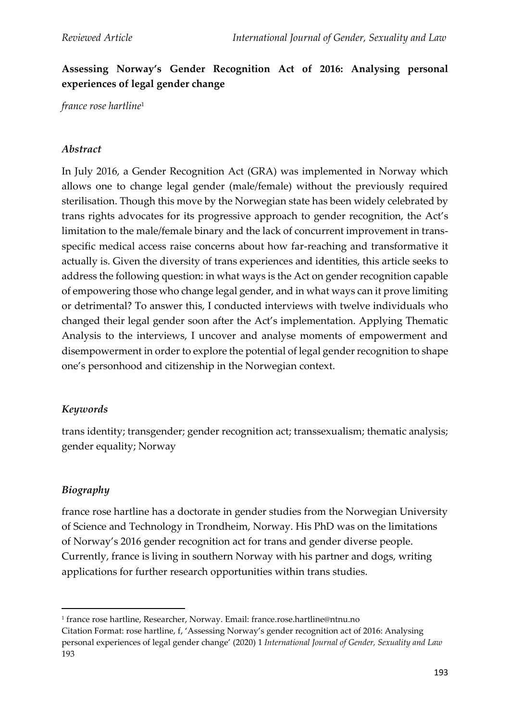# **Assessing Norway's Gender Recognition Act of 2016: Analysing personal experiences of legal gender change**

*france rose hartline*<sup>1</sup>

### *Abstract*

In July 2016, a Gender Recognition Act (GRA) was implemented in Norway which allows one to change legal gender (male/female) without the previously required sterilisation. Though this move by the Norwegian state has been widely celebrated by trans rights advocates for its progressive approach to gender recognition, the Act's limitation to the male/female binary and the lack of concurrent improvement in transspecific medical access raise concerns about how far-reaching and transformative it actually is. Given the diversity of trans experiences and identities, this article seeks to address the following question: in what ways is the Act on gender recognition capable of empowering those who change legal gender, and in what ways can it prove limiting or detrimental? To answer this, I conducted interviews with twelve individuals who changed their legal gender soon after the Act's implementation. Applying Thematic Analysis to the interviews, I uncover and analyse moments of empowerment and disempowerment in order to explore the potential of legal gender recognition to shape one's personhood and citizenship in the Norwegian context.

## *Keywords*

trans identity; transgender; gender recognition act; transsexualism; thematic analysis; gender equality; Norway

## *Biography*

france rose hartline has a doctorate in gender studies from the Norwegian University of Science and Technology in Trondheim, Norway. His PhD was on the limitations of Norway's 2016 gender recognition act for trans and gender diverse people. Currently, france is living in southern Norway with his partner and dogs, writing applications for further research opportunities within trans studies.

<sup>1</sup> france rose hartline, Researcher, Norway. Email: france.rose.hartline@ntnu.no

Citation Format: rose hartline, f, 'Assessing Norway's gender recognition act of 2016: Analysing personal experiences of legal gender change' (2020) 1 *International Journal of Gender, Sexuality and Law*  193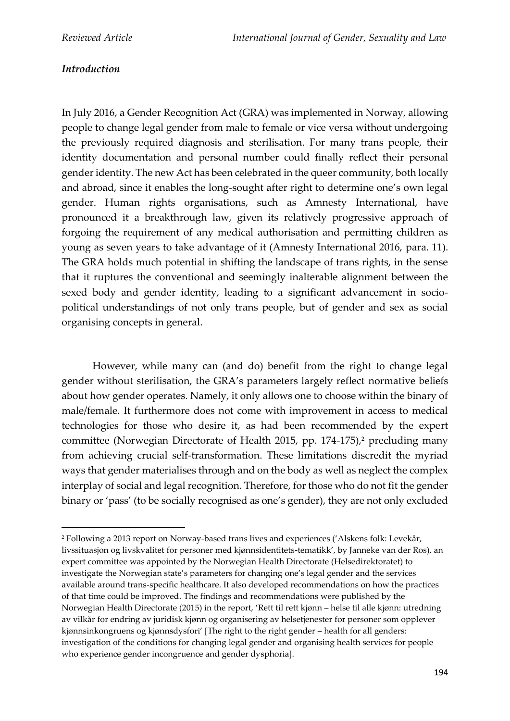## *Introduction*

In July 2016, a Gender Recognition Act (GRA) was implemented in Norway, allowing people to change legal gender from male to female or vice versa without undergoing the previously required diagnosis and sterilisation. For many trans people, their identity documentation and personal number could finally reflect their personal gender identity. The new Act has been celebrated in the queer community, both locally and abroad, since it enables the long-sought after right to determine one's own legal gender. Human rights organisations, such as Amnesty International, have pronounced it a breakthrough law, given its relatively progressive approach of forgoing the requirement of any medical authorisation and permitting children as young as seven years to take advantage of it (Amnesty International 2016, para. 11). The GRA holds much potential in shifting the landscape of trans rights, in the sense that it ruptures the conventional and seemingly inalterable alignment between the sexed body and gender identity, leading to a significant advancement in sociopolitical understandings of not only trans people, but of gender and sex as social organising concepts in general.

However, while many can (and do) benefit from the right to change legal gender without sterilisation, the GRA's parameters largely reflect normative beliefs about how gender operates. Namely, it only allows one to choose within the binary of male/female. It furthermore does not come with improvement in access to medical technologies for those who desire it, as had been recommended by the expert committee (Norwegian Directorate of Health 2015, pp. 174-175), <sup>2</sup> precluding many from achieving crucial self-transformation. These limitations discredit the myriad ways that gender materialises through and on the body as well as neglect the complex interplay of social and legal recognition. Therefore, for those who do not fit the gender binary or 'pass' (to be socially recognised as one's gender), they are not only excluded

<sup>2</sup> Following a 2013 report on Norway-based trans lives and experiences ('Alskens folk: Levekår, livssituasjon og livskvalitet for personer med kjønnsidentitets-tematikk', by Janneke van der Ros), an expert committee was appointed by the Norwegian Health Directorate (Helsedirektoratet) to investigate the Norwegian state's parameters for changing one's legal gender and the services available around trans-specific healthcare. It also developed recommendations on how the practices of that time could be improved. The findings and recommendations were published by the Norwegian Health Directorate (2015) in the report, 'Rett til rett kjønn – helse til alle kjønn: utredning av vilkår for endring av juridisk kjønn og organisering av helsetjenester for personer som opplever kjønnsinkongruens og kjønnsdysfori' [The right to the right gender – health for all genders: investigation of the conditions for changing legal gender and organising health services for people who experience gender incongruence and gender dysphoria].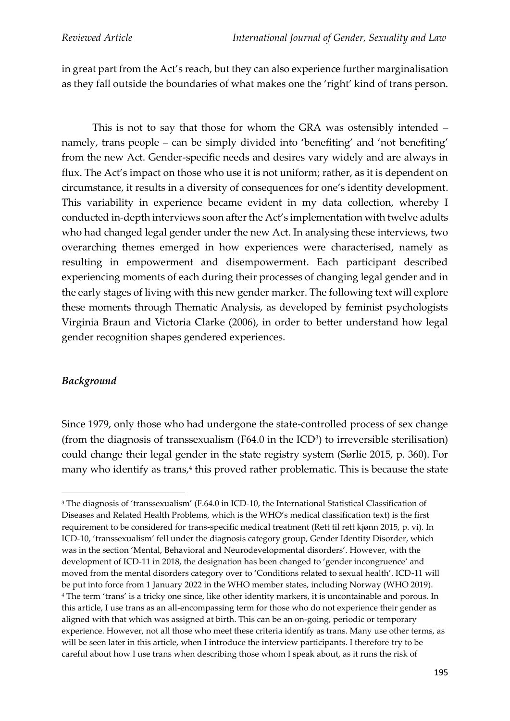in great part from the Act's reach, but they can also experience further marginalisation as they fall outside the boundaries of what makes one the 'right' kind of trans person.

This is not to say that those for whom the GRA was ostensibly intended – namely, trans people – can be simply divided into 'benefiting' and 'not benefiting' from the new Act. Gender-specific needs and desires vary widely and are always in flux. The Act's impact on those who use it is not uniform; rather, as it is dependent on circumstance, it results in a diversity of consequences for one's identity development. This variability in experience became evident in my data collection, whereby I conducted in-depth interviews soon after the Act's implementation with twelve adults who had changed legal gender under the new Act. In analysing these interviews, two overarching themes emerged in how experiences were characterised, namely as resulting in empowerment and disempowerment. Each participant described experiencing moments of each during their processes of changing legal gender and in the early stages of living with this new gender marker. The following text will explore these moments through Thematic Analysis, as developed by feminist psychologists Virginia Braun and Victoria Clarke (2006), in order to better understand how legal gender recognition shapes gendered experiences.

## *Background*

Since 1979, only those who had undergone the state-controlled process of sex change (from the diagnosis of transsexualism (F64.0 in the  $\text{ICD}^3$ ) to irreversible sterilisation) could change their legal gender in the state registry system (Sørlie 2015, p. 360). For many who identify as trans,<sup>4</sup> this proved rather problematic. This is because the state

<sup>&</sup>lt;sup>3</sup> The diagnosis of 'transsexualism' (F.64.0 in ICD-10, the International Statistical Classification of Diseases and Related Health Problems, which is the WHO's medical classification text) is the first requirement to be considered for trans-specific medical treatment (Rett til rett kjønn 2015, p. vi). In ICD-10, 'transsexualism' fell under the diagnosis category group, Gender Identity Disorder, which was in the section 'Mental, Behavioral and Neurodevelopmental disorders'. However, with the development of ICD-11 in 2018, the designation has been changed to 'gender incongruence' and moved from the mental disorders category over to 'Conditions related to sexual health'. ICD-11 will be put into force from 1 January 2022 in the WHO member states, including Norway (WHO 2019). <sup>4</sup> The term 'trans' is a tricky one since, like other identity markers, it is uncontainable and porous. In this article, I use trans as an all-encompassing term for those who do not experience their gender as aligned with that which was assigned at birth. This can be an on-going, periodic or temporary experience. However, not all those who meet these criteria identify as trans. Many use other terms, as will be seen later in this article, when I introduce the interview participants. I therefore try to be careful about how I use trans when describing those whom I speak about, as it runs the risk of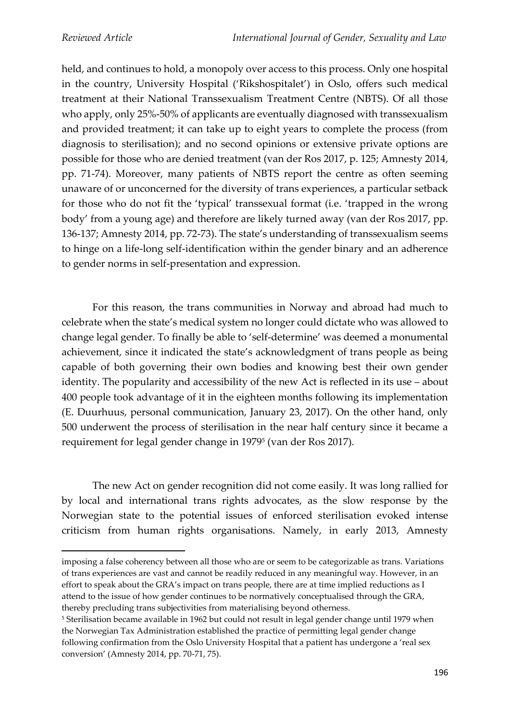held, and continues to hold, a monopoly over access to this process. Only one hospital in the country, University Hospital ('Rikshospitalet') in Oslo, offers such medical treatment at their National Transsexualism Treatment Centre (NBTS). Of all those who apply, only 25%-50% of applicants are eventually diagnosed with transsexualism and provided treatment; it can take up to eight years to complete the process (from diagnosis to sterilisation); and no second opinions or extensive private options are possible for those who are denied treatment (van der Ros 2017, p. 125; Amnesty 2014, pp. 71-74). Moreover, many patients of NBTS report the centre as often seeming unaware of or unconcerned for the diversity of trans experiences, a particular setback for those who do not fit the 'typical' transsexual format (i.e. 'trapped in the wrong body' from a young age) and therefore are likely turned away (van der Ros 2017, pp. 136-137; Amnesty 2014, pp. 72-73). The state's understanding of transsexualism seems to hinge on a life-long self-identification within the gender binary and an adherence to gender norms in self-presentation and expression.

For this reason, the trans communities in Norway and abroad had much to celebrate when the state's medical system no longer could dictate who was allowed to change legal gender. To finally be able to 'self-determine' was deemed a monumental achievement, since it indicated the state's acknowledgment of trans people as being capable of both governing their own bodies and knowing best their own gender identity. The popularity and accessibility of the new Act is reflected in its use – about 400 people took advantage of it in the eighteen months following its implementation (E. Duurhuus, personal communication, January 23, 2017). On the other hand, only 500 underwent the process of sterilisation in the near half century since it became a requirement for legal gender change in 1979<sup>5</sup> (van der Ros 2017).

The new Act on gender recognition did not come easily. It was long rallied for by local and international trans rights advocates, as the slow response by the Norwegian state to the potential issues of enforced sterilisation evoked intense criticism from human rights organisations. Namely, in early 2013, Amnesty

imposing a false coherency between all those who are or seem to be categorizable as trans. Variations of trans experiences are vast and cannot be readily reduced in any meaningful way. However, in an effort to speak about the GRA's impact on trans people, there are at time implied reductions as I attend to the issue of how gender continues to be normatively conceptualised through the GRA, thereby precluding trans subjectivities from materialising beyond otherness.

<sup>5</sup> Sterilisation became available in 1962 but could not result in legal gender change until 1979 when the Norwegian Tax Administration established the practice of permitting legal gender change following confirmation from the Oslo University Hospital that a patient has undergone a 'real sex conversion' (Amnesty 2014, pp. 70-71, 75).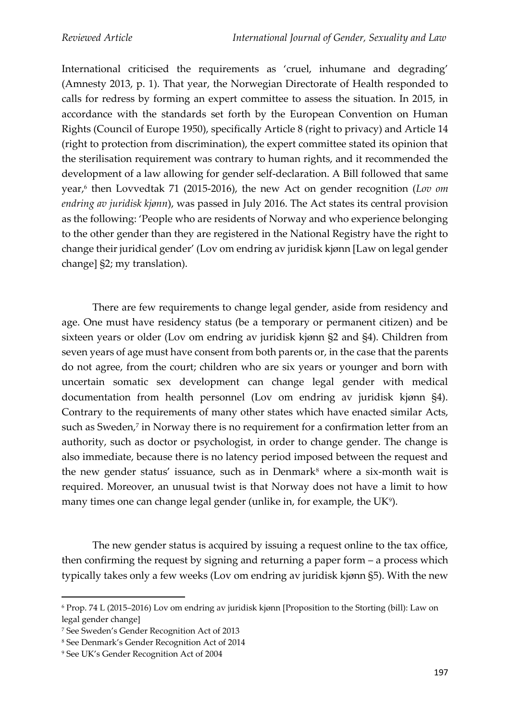International criticised the requirements as 'cruel, inhumane and degrading' (Amnesty 2013, p. 1). That year, the Norwegian Directorate of Health responded to calls for redress by forming an expert committee to assess the situation. In 2015, in accordance with the standards set forth by the European Convention on Human Rights (Council of Europe 1950), specifically Article 8 (right to privacy) and Article 14 (right to protection from discrimination), the expert committee stated its opinion that the sterilisation requirement was contrary to human rights, and it recommended the development of a law allowing for gender self-declaration. A Bill followed that same year, 6 then Lovvedtak 71 (2015-2016), the new Act on gender recognition (*Lov om endring av juridisk kjønn*), was passed in July 2016. The Act states its central provision as the following: 'People who are residents of Norway and who experience belonging to the other gender than they are registered in the National Registry have the right to change their juridical gender' (Lov om endring av juridisk kjønn [Law on legal gender change] §2; my translation).

There are few requirements to change legal gender, aside from residency and age. One must have residency status (be a temporary or permanent citizen) and be sixteen years or older (Lov om endring av juridisk kjønn §2 and §4). Children from seven years of age must have consent from both parents or, in the case that the parents do not agree, from the court; children who are six years or younger and born with uncertain somatic sex development can change legal gender with medical documentation from health personnel (Lov om endring av juridisk kjønn §4). Contrary to the requirements of many other states which have enacted similar Acts, such as Sweden, 7 in Norway there is no requirement for a confirmation letter from an authority, such as doctor or psychologist, in order to change gender. The change is also immediate, because there is no latency period imposed between the request and the new gender status' issuance, such as in Denmark $8$  where a six-month wait is required. Moreover, an unusual twist is that Norway does not have a limit to how many times one can change legal gender (unlike in, for example, the  $\mathrm{UK}^{\mathfrak{g}}$ ).

The new gender status is acquired by issuing a request online to the tax office, then confirming the request by signing and returning a paper form – a process which typically takes only a few weeks (Lov om endring av juridisk kjønn §5). With the new

<sup>6</sup> Prop. 74 L (2015–2016) Lov om endring av juridisk kjønn [Proposition to the Storting (bill): Law on legal gender change]

<sup>7</sup> See Sweden's Gender Recognition Act of 2013

<sup>8</sup> See Denmark's Gender Recognition Act of 2014

<sup>9</sup> See UK's Gender Recognition Act of 2004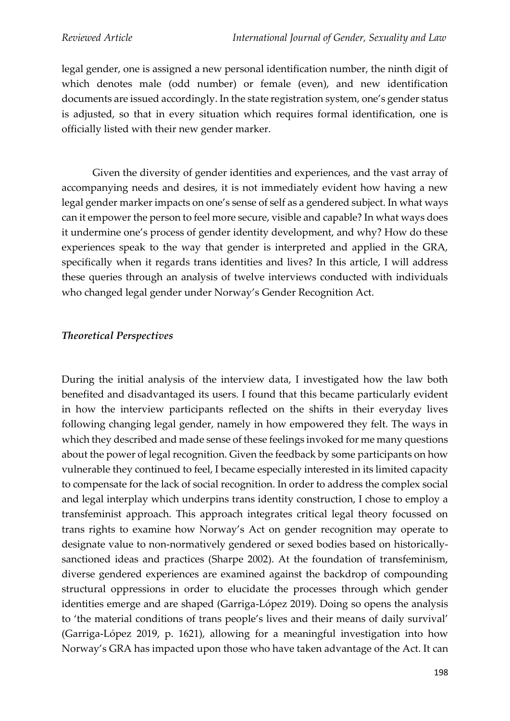legal gender, one is assigned a new personal identification number, the ninth digit of which denotes male (odd number) or female (even), and new identification documents are issued accordingly. In the state registration system, one's gender status is adjusted, so that in every situation which requires formal identification, one is officially listed with their new gender marker.

Given the diversity of gender identities and experiences, and the vast array of accompanying needs and desires, it is not immediately evident how having a new legal gender marker impacts on one's sense of self as a gendered subject. In what ways can it empower the person to feel more secure, visible and capable? In what ways does it undermine one's process of gender identity development, and why? How do these experiences speak to the way that gender is interpreted and applied in the GRA, specifically when it regards trans identities and lives? In this article, I will address these queries through an analysis of twelve interviews conducted with individuals who changed legal gender under Norway's Gender Recognition Act.

#### *Theoretical Perspectives*

During the initial analysis of the interview data, I investigated how the law both benefited and disadvantaged its users. I found that this became particularly evident in how the interview participants reflected on the shifts in their everyday lives following changing legal gender, namely in how empowered they felt. The ways in which they described and made sense of these feelings invoked for me many questions about the power of legal recognition. Given the feedback by some participants on how vulnerable they continued to feel, I became especially interested in its limited capacity to compensate for the lack of social recognition. In order to address the complex social and legal interplay which underpins trans identity construction, I chose to employ a transfeminist approach. This approach integrates critical legal theory focussed on trans rights to examine how Norway's Act on gender recognition may operate to designate value to non-normatively gendered or sexed bodies based on historicallysanctioned ideas and practices (Sharpe 2002). At the foundation of transfeminism, diverse gendered experiences are examined against the backdrop of compounding structural oppressions in order to elucidate the processes through which gender identities emerge and are shaped (Garriga-López 2019). Doing so opens the analysis to 'the material conditions of trans people's lives and their means of daily survival' (Garriga-López 2019, p. 1621), allowing for a meaningful investigation into how Norway's GRA has impacted upon those who have taken advantage of the Act. It can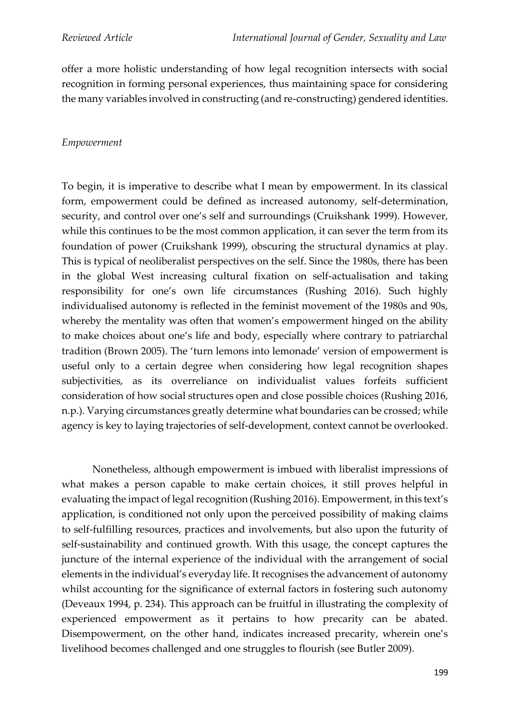offer a more holistic understanding of how legal recognition intersects with social recognition in forming personal experiences, thus maintaining space for considering the many variables involved in constructing (and re-constructing) gendered identities.

#### *Empowerment*

To begin, it is imperative to describe what I mean by empowerment. In its classical form, empowerment could be defined as increased autonomy, self-determination, security, and control over one's self and surroundings (Cruikshank 1999). However, while this continues to be the most common application, it can sever the term from its foundation of power (Cruikshank 1999), obscuring the structural dynamics at play. This is typical of neoliberalist perspectives on the self. Since the 1980s, there has been in the global West increasing cultural fixation on self-actualisation and taking responsibility for one's own life circumstances (Rushing 2016). Such highly individualised autonomy is reflected in the feminist movement of the 1980s and 90s, whereby the mentality was often that women's empowerment hinged on the ability to make choices about one's life and body, especially where contrary to patriarchal tradition (Brown 2005). The 'turn lemons into lemonade' version of empowerment is useful only to a certain degree when considering how legal recognition shapes subjectivities, as its overreliance on individualist values forfeits sufficient consideration of how social structures open and close possible choices (Rushing 2016, n.p.). Varying circumstances greatly determine what boundaries can be crossed; while agency is key to laying trajectories of self-development, context cannot be overlooked.

Nonetheless, although empowerment is imbued with liberalist impressions of what makes a person capable to make certain choices, it still proves helpful in evaluating the impact of legal recognition (Rushing 2016). Empowerment, in this text's application, is conditioned not only upon the perceived possibility of making claims to self-fulfilling resources, practices and involvements, but also upon the futurity of self-sustainability and continued growth. With this usage, the concept captures the juncture of the internal experience of the individual with the arrangement of social elements in the individual's everyday life. It recognises the advancement of autonomy whilst accounting for the significance of external factors in fostering such autonomy (Deveaux 1994, p. 234). This approach can be fruitful in illustrating the complexity of experienced empowerment as it pertains to how precarity can be abated. Disempowerment, on the other hand, indicates increased precarity, wherein one's livelihood becomes challenged and one struggles to flourish (see Butler 2009).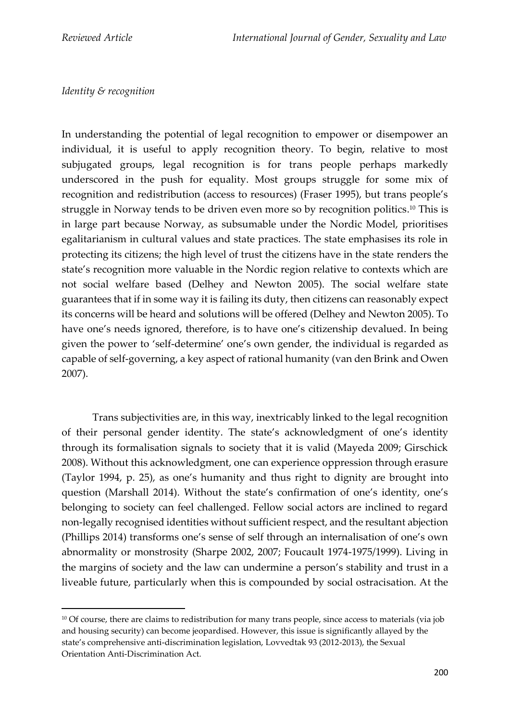#### *Identity & recognition*

In understanding the potential of legal recognition to empower or disempower an individual, it is useful to apply recognition theory. To begin, relative to most subjugated groups, legal recognition is for trans people perhaps markedly underscored in the push for equality. Most groups struggle for some mix of recognition and redistribution (access to resources) (Fraser 1995), but trans people's struggle in Norway tends to be driven even more so by recognition politics. <sup>10</sup> This is in large part because Norway, as subsumable under the Nordic Model, prioritises egalitarianism in cultural values and state practices. The state emphasises its role in protecting its citizens; the high level of trust the citizens have in the state renders the state's recognition more valuable in the Nordic region relative to contexts which are not social welfare based (Delhey and Newton 2005). The social welfare state guarantees that if in some way it is failing its duty, then citizens can reasonably expect its concerns will be heard and solutions will be offered (Delhey and Newton 2005). To have one's needs ignored, therefore, is to have one's citizenship devalued. In being given the power to 'self-determine' one's own gender, the individual is regarded as capable of self-governing, a key aspect of rational humanity (van den Brink and Owen 2007).

Trans subjectivities are, in this way, inextricably linked to the legal recognition of their personal gender identity. The state's acknowledgment of one's identity through its formalisation signals to society that it is valid (Mayeda 2009; Girschick 2008). Without this acknowledgment, one can experience oppression through erasure (Taylor 1994, p. 25), as one's humanity and thus right to dignity are brought into question (Marshall 2014). Without the state's confirmation of one's identity, one's belonging to society can feel challenged. Fellow social actors are inclined to regard non-legally recognised identities without sufficient respect, and the resultant abjection (Phillips 2014) transforms one's sense of self through an internalisation of one's own abnormality or monstrosity (Sharpe 2002, 2007; Foucault 1974-1975/1999). Living in the margins of society and the law can undermine a person's stability and trust in a liveable future, particularly when this is compounded by social ostracisation. At the

<sup>&</sup>lt;sup>10</sup> Of course, there are claims to redistribution for many trans people, since access to materials (via job and housing security) can become jeopardised. However, this issue is significantly allayed by the state's comprehensive anti-discrimination legislation, Lovvedtak 93 (2012-2013), the Sexual Orientation Anti-Discrimination Act.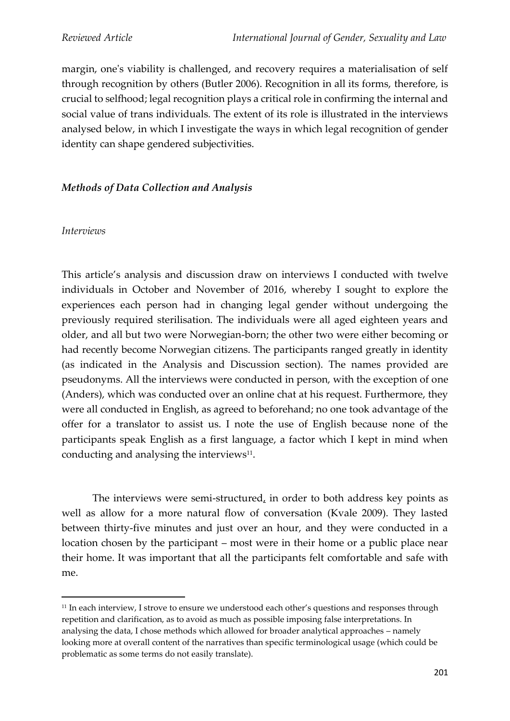margin, one's viability is challenged, and recovery requires a materialisation of self through recognition by others (Butler 2006). Recognition in all its forms, therefore, is crucial to selfhood; legal recognition plays a critical role in confirming the internal and social value of trans individuals. The extent of its role is illustrated in the interviews analysed below, in which I investigate the ways in which legal recognition of gender identity can shape gendered subjectivities.

## *Methods of Data Collection and Analysis*

#### *Interviews*

This article's analysis and discussion draw on interviews I conducted with twelve individuals in October and November of 2016, whereby I sought to explore the experiences each person had in changing legal gender without undergoing the previously required sterilisation. The individuals were all aged eighteen years and older, and all but two were Norwegian-born; the other two were either becoming or had recently become Norwegian citizens. The participants ranged greatly in identity (as indicated in the Analysis and Discussion section). The names provided are pseudonyms. All the interviews were conducted in person, with the exception of one (Anders), which was conducted over an online chat at his request. Furthermore, they were all conducted in English, as agreed to beforehand; no one took advantage of the offer for a translator to assist us. I note the use of English because none of the participants speak English as a first language, a factor which I kept in mind when conducting and analysing the interviews $11$ .

The interviews were semi-structured, in order to both address key points as well as allow for a more natural flow of conversation (Kvale 2009). They lasted between thirty-five minutes and just over an hour, and they were conducted in a location chosen by the participant – most were in their home or a public place near their home. It was important that all the participants felt comfortable and safe with me.

<sup>&</sup>lt;sup>11</sup> In each interview, I strove to ensure we understood each other's questions and responses through repetition and clarification, as to avoid as much as possible imposing false interpretations. In analysing the data, I chose methods which allowed for broader analytical approaches – namely looking more at overall content of the narratives than specific terminological usage (which could be problematic as some terms do not easily translate).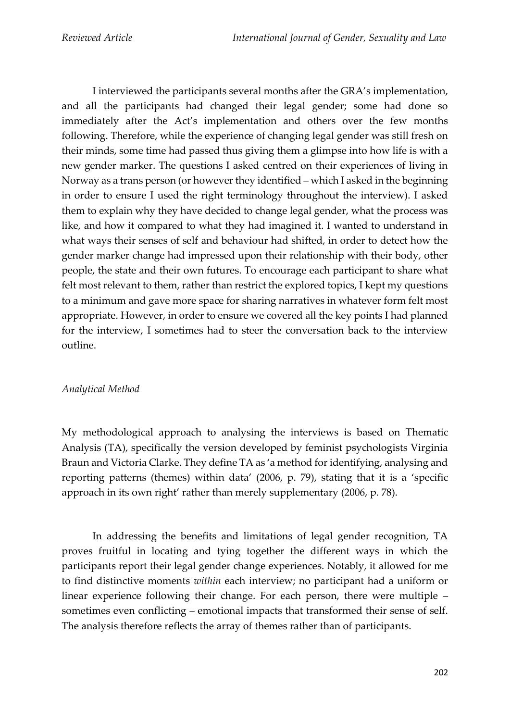I interviewed the participants several months after the GRA's implementation, and all the participants had changed their legal gender; some had done so immediately after the Act's implementation and others over the few months following. Therefore, while the experience of changing legal gender was still fresh on their minds, some time had passed thus giving them a glimpse into how life is with a new gender marker. The questions I asked centred on their experiences of living in Norway as a trans person (or however they identified – which I asked in the beginning in order to ensure I used the right terminology throughout the interview). I asked them to explain why they have decided to change legal gender, what the process was like, and how it compared to what they had imagined it. I wanted to understand in what ways their senses of self and behaviour had shifted, in order to detect how the gender marker change had impressed upon their relationship with their body, other people, the state and their own futures. To encourage each participant to share what felt most relevant to them, rather than restrict the explored topics, I kept my questions to a minimum and gave more space for sharing narratives in whatever form felt most appropriate. However, in order to ensure we covered all the key points I had planned for the interview, I sometimes had to steer the conversation back to the interview outline.

## *Analytical Method*

My methodological approach to analysing the interviews is based on Thematic Analysis (TA), specifically the version developed by feminist psychologists Virginia Braun and Victoria Clarke. They define TA as 'a method for identifying, analysing and reporting patterns (themes) within data' (2006, p. 79), stating that it is a 'specific approach in its own right' rather than merely supplementary (2006, p. 78).

In addressing the benefits and limitations of legal gender recognition, TA proves fruitful in locating and tying together the different ways in which the participants report their legal gender change experiences. Notably, it allowed for me to find distinctive moments *within* each interview; no participant had a uniform or linear experience following their change. For each person, there were multiple – sometimes even conflicting – emotional impacts that transformed their sense of self. The analysis therefore reflects the array of themes rather than of participants.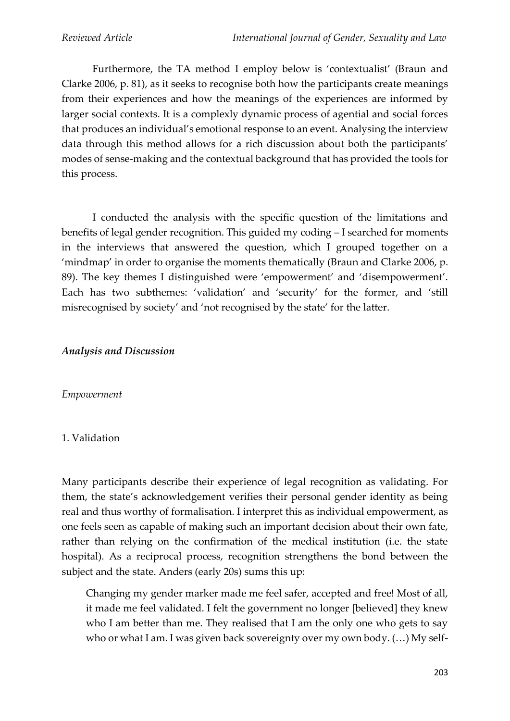Furthermore, the TA method I employ below is 'contextualist' (Braun and Clarke 2006, p. 81), as it seeks to recognise both how the participants create meanings from their experiences and how the meanings of the experiences are informed by larger social contexts. It is a complexly dynamic process of agential and social forces that produces an individual's emotional response to an event. Analysing the interview data through this method allows for a rich discussion about both the participants' modes of sense-making and the contextual background that has provided the tools for this process.

I conducted the analysis with the specific question of the limitations and benefits of legal gender recognition. This guided my coding – I searched for moments in the interviews that answered the question, which I grouped together on a 'mindmap' in order to organise the moments thematically (Braun and Clarke 2006, p. 89). The key themes I distinguished were 'empowerment' and 'disempowerment'. Each has two subthemes: 'validation' and 'security' for the former, and 'still misrecognised by society' and 'not recognised by the state' for the latter.

#### *Analysis and Discussion*

#### *Empowerment*

## 1. Validation

Many participants describe their experience of legal recognition as validating. For them, the state's acknowledgement verifies their personal gender identity as being real and thus worthy of formalisation. I interpret this as individual empowerment, as one feels seen as capable of making such an important decision about their own fate, rather than relying on the confirmation of the medical institution (i.e. the state hospital). As a reciprocal process, recognition strengthens the bond between the subject and the state. Anders (early 20s) sums this up:

Changing my gender marker made me feel safer, accepted and free! Most of all, it made me feel validated. I felt the government no longer [believed] they knew who I am better than me. They realised that I am the only one who gets to say who or what I am. I was given back sovereignty over my own body. (…) My self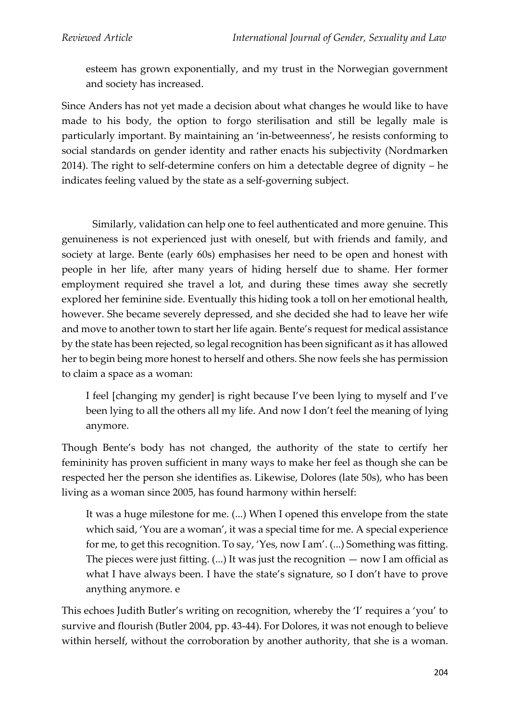esteem has grown exponentially, and my trust in the Norwegian government and society has increased.

Since Anders has not yet made a decision about what changes he would like to have made to his body, the option to forgo sterilisation and still be legally male is particularly important. By maintaining an 'in-betweenness', he resists conforming to social standards on gender identity and rather enacts his subjectivity (Nordmarken 2014). The right to self-determine confers on him a detectable degree of dignity – he indicates feeling valued by the state as a self-governing subject.

Similarly, validation can help one to feel authenticated and more genuine. This genuineness is not experienced just with oneself, but with friends and family, and society at large. Bente (early 60s) emphasises her need to be open and honest with people in her life, after many years of hiding herself due to shame. Her former employment required she travel a lot, and during these times away she secretly explored her feminine side. Eventually this hiding took a toll on her emotional health, however. She became severely depressed, and she decided she had to leave her wife and move to another town to start her life again. Bente's request for medical assistance by the state has been rejected, so legal recognition has been significant as it has allowed her to begin being more honest to herself and others. She now feels she has permission to claim a space as a woman:

I feel [changing my gender] is right because I've been lying to myself and I've been lying to all the others all my life. And now I don't feel the meaning of lying anymore.

Though Bente's body has not changed, the authority of the state to certify her femininity has proven sufficient in many ways to make her feel as though she can be respected her the person she identifies as. Likewise, Dolores (late 50s), who has been living as a woman since 2005, has found harmony within herself:

It was a huge milestone for me. (...) When I opened this envelope from the state which said, 'You are a woman', it was a special time for me. A special experience for me, to get this recognition. To say, 'Yes, now I am'. (...) Something was fitting. The pieces were just fitting.  $(...)$  It was just the recognition  $-$  now I am official as what I have always been. I have the state's signature, so I don't have to prove anything anymore. e

This echoes Judith Butler's writing on recognition, whereby the 'I' requires a 'you' to survive and flourish (Butler 2004, pp. 43-44). For Dolores, it was not enough to believe within herself, without the corroboration by another authority, that she is a woman.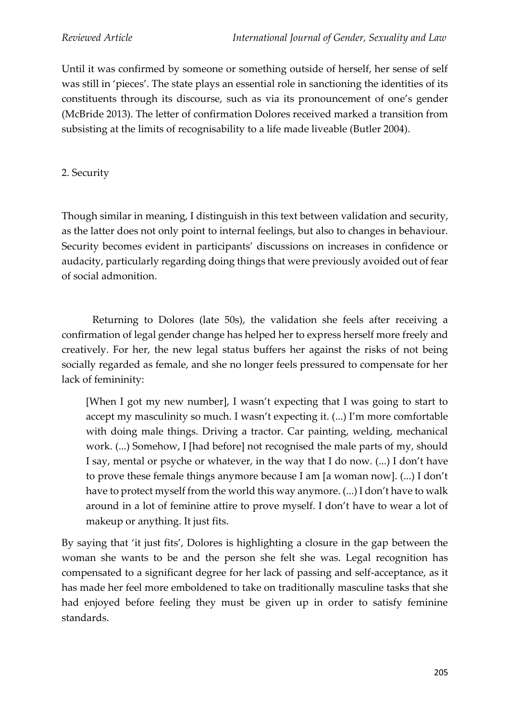Until it was confirmed by someone or something outside of herself, her sense of self was still in 'pieces'. The state plays an essential role in sanctioning the identities of its constituents through its discourse, such as via its pronouncement of one's gender (McBride 2013). The letter of confirmation Dolores received marked a transition from subsisting at the limits of recognisability to a life made liveable (Butler 2004).

## 2. Security

Though similar in meaning, I distinguish in this text between validation and security, as the latter does not only point to internal feelings, but also to changes in behaviour. Security becomes evident in participants' discussions on increases in confidence or audacity, particularly regarding doing things that were previously avoided out of fear of social admonition.

Returning to Dolores (late 50s), the validation she feels after receiving a confirmation of legal gender change has helped her to express herself more freely and creatively. For her, the new legal status buffers her against the risks of not being socially regarded as female, and she no longer feels pressured to compensate for her lack of femininity:

[When I got my new number], I wasn't expecting that I was going to start to accept my masculinity so much. I wasn't expecting it. (...) I'm more comfortable with doing male things. Driving a tractor. Car painting, welding, mechanical work. (...) Somehow, I [had before] not recognised the male parts of my, should I say, mental or psyche or whatever, in the way that I do now. (...) I don't have to prove these female things anymore because I am [a woman now]. (...) I don't have to protect myself from the world this way anymore. (...) I don't have to walk around in a lot of feminine attire to prove myself. I don't have to wear a lot of makeup or anything. It just fits.

By saying that 'it just fits', Dolores is highlighting a closure in the gap between the woman she wants to be and the person she felt she was. Legal recognition has compensated to a significant degree for her lack of passing and self-acceptance, as it has made her feel more emboldened to take on traditionally masculine tasks that she had enjoyed before feeling they must be given up in order to satisfy feminine standards.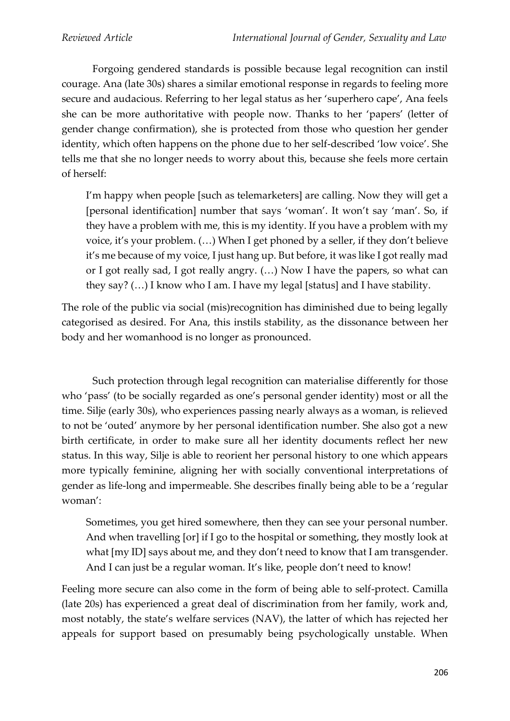Forgoing gendered standards is possible because legal recognition can instil courage. Ana (late 30s) shares a similar emotional response in regards to feeling more secure and audacious. Referring to her legal status as her 'superhero cape', Ana feels she can be more authoritative with people now. Thanks to her 'papers' (letter of gender change confirmation), she is protected from those who question her gender identity, which often happens on the phone due to her self-described 'low voice'. She tells me that she no longer needs to worry about this, because she feels more certain of herself:

I'm happy when people [such as telemarketers] are calling. Now they will get a [personal identification] number that says 'woman'. It won't say 'man'. So, if they have a problem with me, this is my identity. If you have a problem with my voice, it's your problem. (…) When I get phoned by a seller, if they don't believe it's me because of my voice, I just hang up. But before, it was like I got really mad or I got really sad, I got really angry. (…) Now I have the papers, so what can they say? (…) I know who I am. I have my legal [status] and I have stability.

The role of the public via social (mis)recognition has diminished due to being legally categorised as desired. For Ana, this instils stability, as the dissonance between her body and her womanhood is no longer as pronounced.

Such protection through legal recognition can materialise differently for those who 'pass' (to be socially regarded as one's personal gender identity) most or all the time. Silje (early 30s), who experiences passing nearly always as a woman, is relieved to not be 'outed' anymore by her personal identification number. She also got a new birth certificate, in order to make sure all her identity documents reflect her new status. In this way, Silje is able to reorient her personal history to one which appears more typically feminine, aligning her with socially conventional interpretations of gender as life-long and impermeable. She describes finally being able to be a 'regular woman':

Sometimes, you get hired somewhere, then they can see your personal number. And when travelling [or] if I go to the hospital or something, they mostly look at what [my ID] says about me, and they don't need to know that I am transgender. And I can just be a regular woman. It's like, people don't need to know!

Feeling more secure can also come in the form of being able to self-protect. Camilla (late 20s) has experienced a great deal of discrimination from her family, work and, most notably, the state's welfare services (NAV), the latter of which has rejected her appeals for support based on presumably being psychologically unstable. When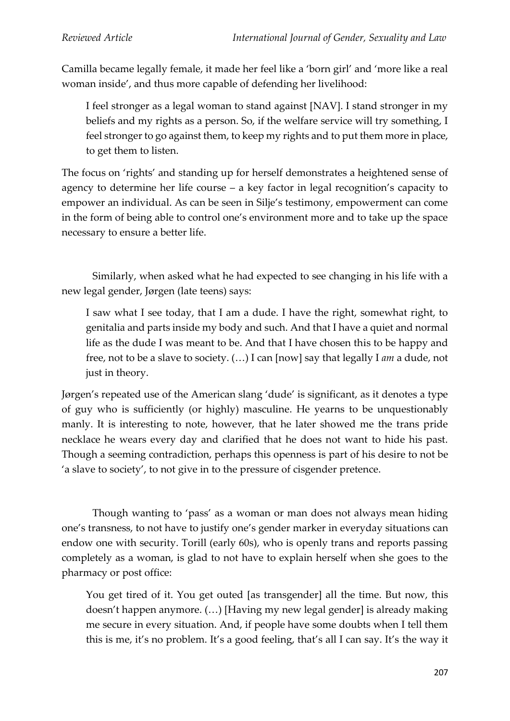Camilla became legally female, it made her feel like a 'born girl' and 'more like a real woman inside', and thus more capable of defending her livelihood:

I feel stronger as a legal woman to stand against [NAV]. I stand stronger in my beliefs and my rights as a person. So, if the welfare service will try something, I feel stronger to go against them, to keep my rights and to put them more in place, to get them to listen.

The focus on 'rights' and standing up for herself demonstrates a heightened sense of agency to determine her life course – a key factor in legal recognition's capacity to empower an individual. As can be seen in Silje's testimony, empowerment can come in the form of being able to control one's environment more and to take up the space necessary to ensure a better life.

Similarly, when asked what he had expected to see changing in his life with a new legal gender, Jørgen (late teens) says:

I saw what I see today, that I am a dude. I have the right, somewhat right, to genitalia and parts inside my body and such. And that I have a quiet and normal life as the dude I was meant to be. And that I have chosen this to be happy and free, not to be a slave to society. (…) I can [now] say that legally I *am* a dude, not just in theory.

Jørgen's repeated use of the American slang 'dude' is significant, as it denotes a type of guy who is sufficiently (or highly) masculine. He yearns to be unquestionably manly. It is interesting to note, however, that he later showed me the trans pride necklace he wears every day and clarified that he does not want to hide his past. Though a seeming contradiction, perhaps this openness is part of his desire to not be 'a slave to society', to not give in to the pressure of cisgender pretence.

Though wanting to 'pass' as a woman or man does not always mean hiding one's transness, to not have to justify one's gender marker in everyday situations can endow one with security. Torill (early 60s), who is openly trans and reports passing completely as a woman, is glad to not have to explain herself when she goes to the pharmacy or post office:

You get tired of it. You get outed [as transgender] all the time. But now, this doesn't happen anymore. (…) [Having my new legal gender] is already making me secure in every situation. And, if people have some doubts when I tell them this is me, it's no problem. It's a good feeling, that's all I can say. It's the way it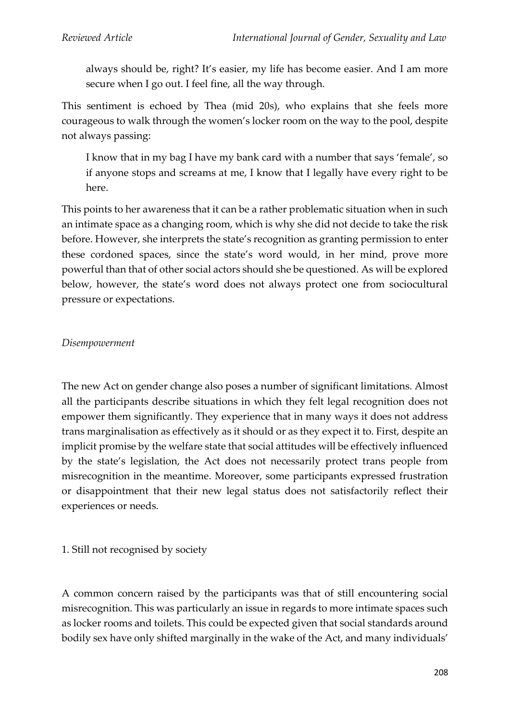always should be, right? It's easier, my life has become easier. And I am more secure when I go out. I feel fine, all the way through.

This sentiment is echoed by Thea (mid 20s), who explains that she feels more courageous to walk through the women's locker room on the way to the pool, despite not always passing:

I know that in my bag I have my bank card with a number that says 'female', so if anyone stops and screams at me, I know that I legally have every right to be here.

This points to her awareness that it can be a rather problematic situation when in such an intimate space as a changing room, which is why she did not decide to take the risk before. However, she interprets the state's recognition as granting permission to enter these cordoned spaces, since the state's word would, in her mind, prove more powerful than that of other social actors should she be questioned. As will be explored below, however, the state's word does not always protect one from sociocultural pressure or expectations.

## *Disempowerment*

The new Act on gender change also poses a number of significant limitations. Almost all the participants describe situations in which they felt legal recognition does not empower them significantly. They experience that in many ways it does not address trans marginalisation as effectively as it should or as they expect it to. First, despite an implicit promise by the welfare state that social attitudes will be effectively influenced by the state's legislation, the Act does not necessarily protect trans people from misrecognition in the meantime. Moreover, some participants expressed frustration or disappointment that their new legal status does not satisfactorily reflect their experiences or needs.

## 1. Still not recognised by society

A common concern raised by the participants was that of still encountering social misrecognition. This was particularly an issue in regards to more intimate spaces such as locker rooms and toilets. This could be expected given that social standards around bodily sex have only shifted marginally in the wake of the Act, and many individuals'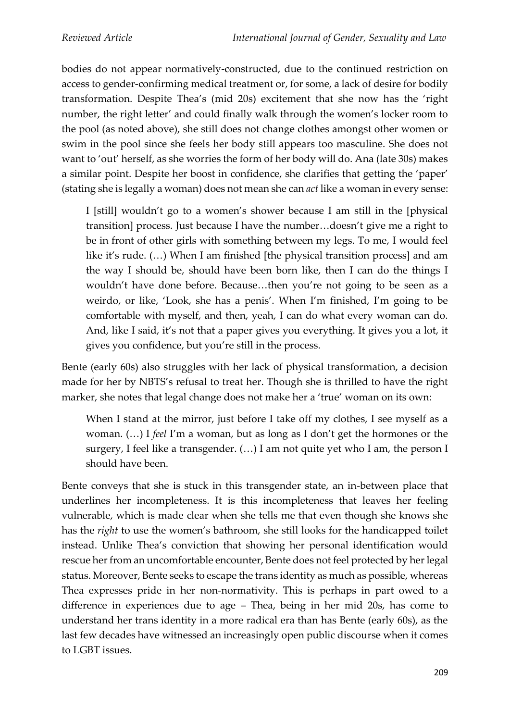bodies do not appear normatively-constructed, due to the continued restriction on access to gender-confirming medical treatment or, for some, a lack of desire for bodily transformation. Despite Thea's (mid 20s) excitement that she now has the 'right number, the right letter' and could finally walk through the women's locker room to the pool (as noted above), she still does not change clothes amongst other women or swim in the pool since she feels her body still appears too masculine. She does not want to 'out' herself, as she worries the form of her body will do. Ana (late 30s) makes a similar point. Despite her boost in confidence, she clarifies that getting the 'paper' (stating she is legally a woman) does not mean she can *act* like a woman in every sense:

I [still] wouldn't go to a women's shower because I am still in the [physical transition] process. Just because I have the number…doesn't give me a right to be in front of other girls with something between my legs. To me, I would feel like it's rude. (…) When I am finished [the physical transition process] and am the way I should be, should have been born like, then I can do the things I wouldn't have done before. Because…then you're not going to be seen as a weirdo, or like, 'Look, she has a penis'. When I'm finished, I'm going to be comfortable with myself, and then, yeah, I can do what every woman can do. And, like I said, it's not that a paper gives you everything. It gives you a lot, it gives you confidence, but you're still in the process.

Bente (early 60s) also struggles with her lack of physical transformation, a decision made for her by NBTS's refusal to treat her. Though she is thrilled to have the right marker, she notes that legal change does not make her a 'true' woman on its own:

When I stand at the mirror, just before I take off my clothes, I see myself as a woman. (…) I *feel* I'm a woman, but as long as I don't get the hormones or the surgery, I feel like a transgender. (…) I am not quite yet who I am, the person I should have been.

Bente conveys that she is stuck in this transgender state, an in-between place that underlines her incompleteness. It is this incompleteness that leaves her feeling vulnerable, which is made clear when she tells me that even though she knows she has the *right* to use the women's bathroom, she still looks for the handicapped toilet instead. Unlike Thea's conviction that showing her personal identification would rescue her from an uncomfortable encounter, Bente does not feel protected by her legal status. Moreover, Bente seeks to escape the trans identity as much as possible, whereas Thea expresses pride in her non-normativity. This is perhaps in part owed to a difference in experiences due to age – Thea, being in her mid 20s, has come to understand her trans identity in a more radical era than has Bente (early 60s), as the last few decades have witnessed an increasingly open public discourse when it comes to LGBT issues.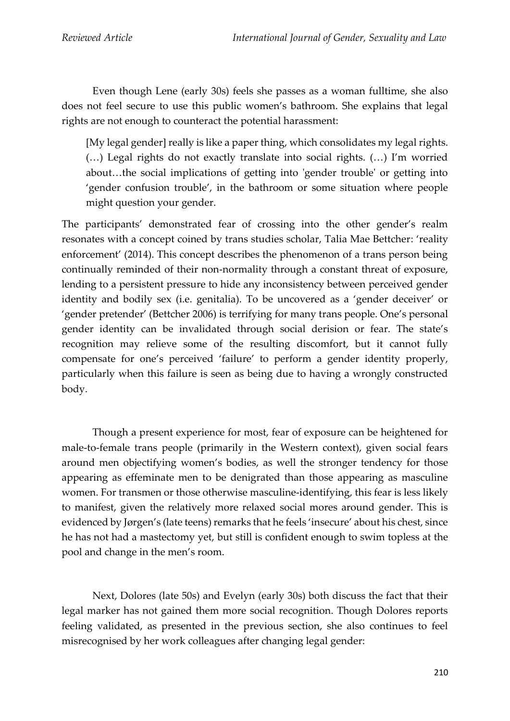Even though Lene (early 30s) feels she passes as a woman fulltime, she also does not feel secure to use this public women's bathroom. She explains that legal rights are not enough to counteract the potential harassment:

[My legal gender] really is like a paper thing, which consolidates my legal rights. (…) Legal rights do not exactly translate into social rights. (…) I'm worried about…the social implications of getting into 'gender trouble' or getting into 'gender confusion trouble', in the bathroom or some situation where people might question your gender.

The participants' demonstrated fear of crossing into the other gender's realm resonates with a concept coined by trans studies scholar, Talia Mae Bettcher: 'reality enforcement' (2014). This concept describes the phenomenon of a trans person being continually reminded of their non-normality through a constant threat of exposure, lending to a persistent pressure to hide any inconsistency between perceived gender identity and bodily sex (i.e. genitalia). To be uncovered as a 'gender deceiver' or 'gender pretender' (Bettcher 2006) is terrifying for many trans people. One's personal gender identity can be invalidated through social derision or fear. The state's recognition may relieve some of the resulting discomfort, but it cannot fully compensate for one's perceived 'failure' to perform a gender identity properly, particularly when this failure is seen as being due to having a wrongly constructed body.

Though a present experience for most, fear of exposure can be heightened for male-to-female trans people (primarily in the Western context), given social fears around men objectifying women's bodies, as well the stronger tendency for those appearing as effeminate men to be denigrated than those appearing as masculine women. For transmen or those otherwise masculine-identifying, this fear is less likely to manifest, given the relatively more relaxed social mores around gender. This is evidenced by Jørgen's (late teens) remarks that he feels 'insecure' about his chest, since he has not had a mastectomy yet, but still is confident enough to swim topless at the pool and change in the men's room.

Next, Dolores (late 50s) and Evelyn (early 30s) both discuss the fact that their legal marker has not gained them more social recognition. Though Dolores reports feeling validated, as presented in the previous section, she also continues to feel misrecognised by her work colleagues after changing legal gender: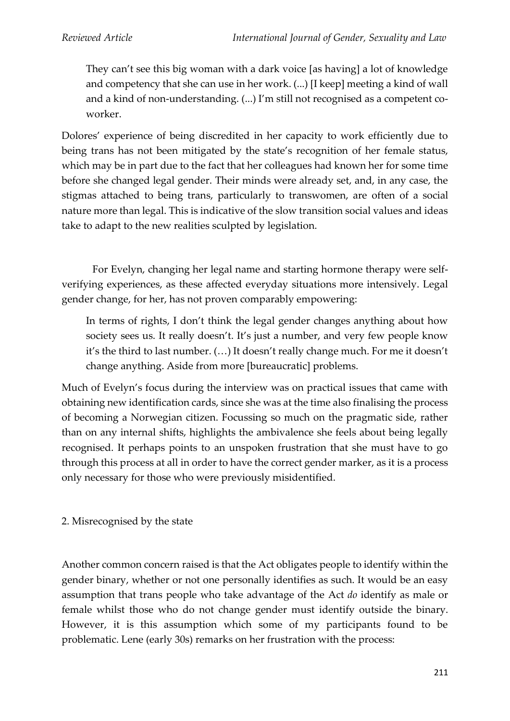They can't see this big woman with a dark voice [as having] a lot of knowledge and competency that she can use in her work. (...) [I keep] meeting a kind of wall and a kind of non-understanding. (...) I'm still not recognised as a competent coworker.

Dolores' experience of being discredited in her capacity to work efficiently due to being trans has not been mitigated by the state's recognition of her female status, which may be in part due to the fact that her colleagues had known her for some time before she changed legal gender. Their minds were already set, and, in any case, the stigmas attached to being trans, particularly to transwomen, are often of a social nature more than legal. This is indicative of the slow transition social values and ideas take to adapt to the new realities sculpted by legislation.

For Evelyn, changing her legal name and starting hormone therapy were selfverifying experiences, as these affected everyday situations more intensively. Legal gender change, for her, has not proven comparably empowering:

In terms of rights, I don't think the legal gender changes anything about how society sees us. It really doesn't. It's just a number, and very few people know it's the third to last number. (…) It doesn't really change much. For me it doesn't change anything. Aside from more [bureaucratic] problems.

Much of Evelyn's focus during the interview was on practical issues that came with obtaining new identification cards, since she was at the time also finalising the process of becoming a Norwegian citizen. Focussing so much on the pragmatic side, rather than on any internal shifts, highlights the ambivalence she feels about being legally recognised. It perhaps points to an unspoken frustration that she must have to go through this process at all in order to have the correct gender marker, as it is a process only necessary for those who were previously misidentified.

2. Misrecognised by the state

Another common concern raised is that the Act obligates people to identify within the gender binary, whether or not one personally identifies as such. It would be an easy assumption that trans people who take advantage of the Act *do* identify as male or female whilst those who do not change gender must identify outside the binary. However, it is this assumption which some of my participants found to be problematic. Lene (early 30s) remarks on her frustration with the process: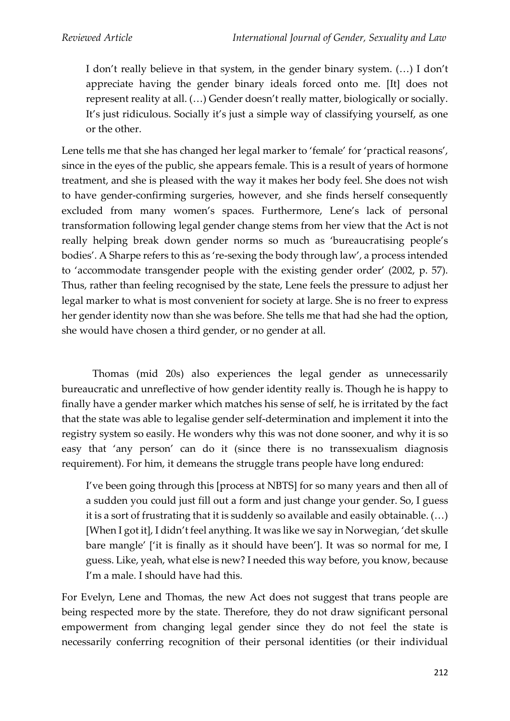I don't really believe in that system, in the gender binary system. (…) I don't appreciate having the gender binary ideals forced onto me. [It] does not represent reality at all. (…) Gender doesn't really matter, biologically or socially. It's just ridiculous. Socially it's just a simple way of classifying yourself, as one or the other.

Lene tells me that she has changed her legal marker to 'female' for 'practical reasons', since in the eyes of the public, she appears female. This is a result of years of hormone treatment, and she is pleased with the way it makes her body feel. She does not wish to have gender-confirming surgeries, however, and she finds herself consequently excluded from many women's spaces. Furthermore, Lene's lack of personal transformation following legal gender change stems from her view that the Act is not really helping break down gender norms so much as 'bureaucratising people's bodies'. A Sharpe refers to this as 're-sexing the body through law', a process intended to 'accommodate transgender people with the existing gender order' (2002, p. 57). Thus, rather than feeling recognised by the state, Lene feels the pressure to adjust her legal marker to what is most convenient for society at large. She is no freer to express her gender identity now than she was before. She tells me that had she had the option, she would have chosen a third gender, or no gender at all.

Thomas (mid 20s) also experiences the legal gender as unnecessarily bureaucratic and unreflective of how gender identity really is. Though he is happy to finally have a gender marker which matches his sense of self, he is irritated by the fact that the state was able to legalise gender self-determination and implement it into the registry system so easily. He wonders why this was not done sooner, and why it is so easy that 'any person' can do it (since there is no transsexualism diagnosis requirement). For him, it demeans the struggle trans people have long endured:

I've been going through this [process at NBTS] for so many years and then all of a sudden you could just fill out a form and just change your gender. So, I guess it is a sort of frustrating that it is suddenly so available and easily obtainable. (…) [When I got it], I didn't feel anything. It was like we say in Norwegian, 'det skulle bare mangle' ['it is finally as it should have been']. It was so normal for me, I guess. Like, yeah, what else is new? I needed this way before, you know, because I'm a male. I should have had this.

For Evelyn, Lene and Thomas, the new Act does not suggest that trans people are being respected more by the state. Therefore, they do not draw significant personal empowerment from changing legal gender since they do not feel the state is necessarily conferring recognition of their personal identities (or their individual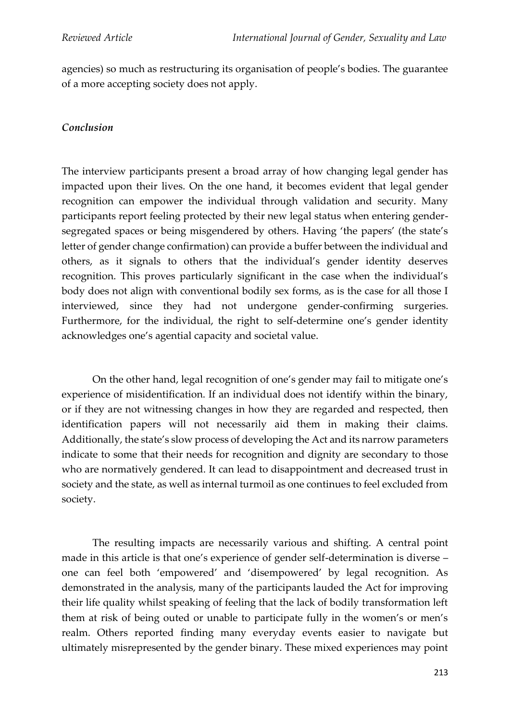agencies) so much as restructuring its organisation of people's bodies. The guarantee of a more accepting society does not apply.

## *Conclusion*

The interview participants present a broad array of how changing legal gender has impacted upon their lives. On the one hand, it becomes evident that legal gender recognition can empower the individual through validation and security. Many participants report feeling protected by their new legal status when entering gendersegregated spaces or being misgendered by others. Having 'the papers' (the state's letter of gender change confirmation) can provide a buffer between the individual and others, as it signals to others that the individual's gender identity deserves recognition. This proves particularly significant in the case when the individual's body does not align with conventional bodily sex forms, as is the case for all those I interviewed, since they had not undergone gender-confirming surgeries. Furthermore, for the individual, the right to self-determine one's gender identity acknowledges one's agential capacity and societal value.

On the other hand, legal recognition of one's gender may fail to mitigate one's experience of misidentification. If an individual does not identify within the binary, or if they are not witnessing changes in how they are regarded and respected, then identification papers will not necessarily aid them in making their claims. Additionally, the state's slow process of developing the Act and its narrow parameters indicate to some that their needs for recognition and dignity are secondary to those who are normatively gendered. It can lead to disappointment and decreased trust in society and the state, as well as internal turmoil as one continues to feel excluded from society.

The resulting impacts are necessarily various and shifting. A central point made in this article is that one's experience of gender self-determination is diverse – one can feel both 'empowered' and 'disempowered' by legal recognition. As demonstrated in the analysis, many of the participants lauded the Act for improving their life quality whilst speaking of feeling that the lack of bodily transformation left them at risk of being outed or unable to participate fully in the women's or men's realm. Others reported finding many everyday events easier to navigate but ultimately misrepresented by the gender binary. These mixed experiences may point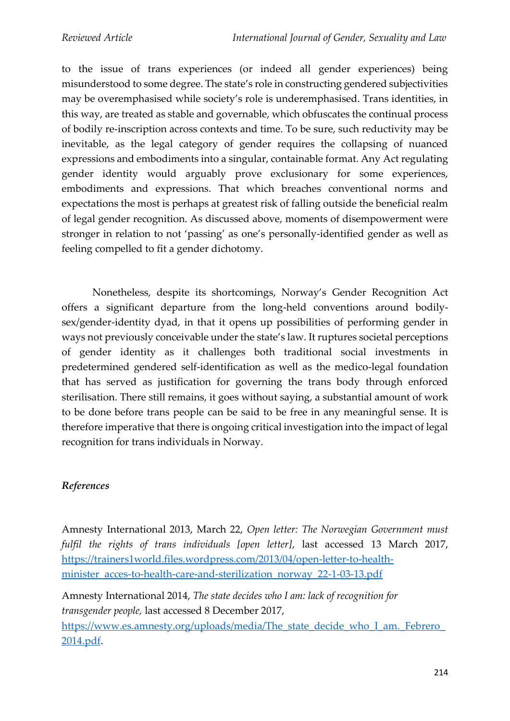to the issue of trans experiences (or indeed all gender experiences) being misunderstood to some degree. The state's role in constructing gendered subjectivities may be overemphasised while society's role is underemphasised. Trans identities, in this way, are treated as stable and governable, which obfuscates the continual process of bodily re-inscription across contexts and time. To be sure, such reductivity may be inevitable, as the legal category of gender requires the collapsing of nuanced expressions and embodiments into a singular, containable format. Any Act regulating gender identity would arguably prove exclusionary for some experiences, embodiments and expressions. That which breaches conventional norms and expectations the most is perhaps at greatest risk of falling outside the beneficial realm of legal gender recognition. As discussed above, moments of disempowerment were stronger in relation to not 'passing' as one's personally-identified gender as well as feeling compelled to fit a gender dichotomy.

Nonetheless, despite its shortcomings, Norway's Gender Recognition Act offers a significant departure from the long-held conventions around bodilysex/gender-identity dyad, in that it opens up possibilities of performing gender in ways not previously conceivable under the state's law. It ruptures societal perceptions of gender identity as it challenges both traditional social investments in predetermined gendered self-identification as well as the medico-legal foundation that has served as justification for governing the trans body through enforced sterilisation. There still remains, it goes without saying, a substantial amount of work to be done before trans people can be said to be free in any meaningful sense. It is therefore imperative that there is ongoing critical investigation into the impact of legal recognition for trans individuals in Norway.

## *References*

Amnesty International 2013, March 22, *Open letter: The Norwegian Government must fulfil the rights of trans individuals [open letter]*, last accessed 13 March 2017, [https://trainers1world.files.wordpress.com/2013/04/open-letter-to-health](about:blank)[minister\\_acces-to-health-care-and-sterilization\\_norway\\_22-1-03-13.pdf](about:blank)

Amnesty International 2014, *The state decides who I am: lack of recognition for transgender people,* last accessed 8 December 2017, https://www.es.amnesty.org/uploads/media/The\_state\_decide\_who\_I\_am.\_Febrero [2014.pdf.](about:blank)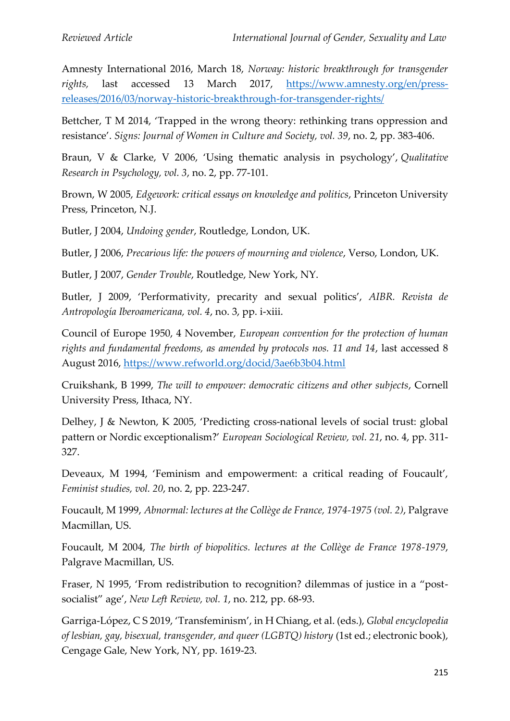Amnesty International 2016, March 18, *Norway: historic breakthrough for transgender rights,* last accessed 13 March 2017, [https://www.amnesty.org/en/press](about:blank)[releases/2016/03/norway-historic-breakthrough-for-transgender-rights/](about:blank)

Bettcher, T M 2014, 'Trapped in the wrong theory: rethinking trans oppression and resistance'. *Signs: Journal of Women in Culture and Society, vol. 39*, no. 2, pp. 383-406.

Braun, V & Clarke, V 2006, 'Using thematic analysis in psychology', *Qualitative Research in Psychology, vol. 3*, no. 2, pp. 77-101.

Brown, W 2005, *Edgework: critical essays on knowledge and politics*, Princeton University Press, Princeton, N.J.

Butler, J 2004, *Undoing gender*, Routledge, London, UK.

Butler, J 2006, *Precarious life: the powers of mourning and violence*, Verso, London, UK.

Butler, J 2007, *Gender Trouble*, Routledge, New York, NY.

Butler, J 2009, 'Performativity, precarity and sexual politics', *AIBR. Revista de Antropología Iberoamericana, vol. 4*, no. 3, pp. i-xiii.

Council of Europe 1950, 4 November, *European convention for the protection of human rights and fundamental freedoms, as amended by protocols nos. 11 and 14*, last accessed 8 August 2016, [https://www.refworld.org/docid/3ae6b3b04.html](about:blank)

Cruikshank, B 1999, *The will to empower: democratic citizens and other subjects*, Cornell University Press, Ithaca, NY.

Delhey, J & Newton, K 2005, 'Predicting cross-national levels of social trust: global pattern or Nordic exceptionalism?' *European Sociological Review, vol. 21*, no. 4, pp. 311- 327.

Deveaux, M 1994, 'Feminism and empowerment: a critical reading of Foucault', *Feminist studies, vol. 20*, no. 2, pp. 223-247.

Foucault, M 1999, *Abnormal: lectures at the Collège de France, 1974-1975 (vol. 2)*, Palgrave Macmillan, US.

Foucault, M 2004, *The birth of biopolitics. lectures at the Collège de France 1978-1979*, Palgrave Macmillan, US.

Fraser, N 1995, 'From redistribution to recognition? dilemmas of justice in a "postsocialist" age', *New Left Review, vol. 1*, no. 212, pp. 68-93.

Garriga-López, C S 2019, 'Transfeminism', in H Chiang, et al. (eds.), *Global encyclopedia of lesbian, gay, bisexual, transgender, and queer (LGBTQ) history* (1st ed.; electronic book), Cengage Gale, New York, NY, pp. 1619-23.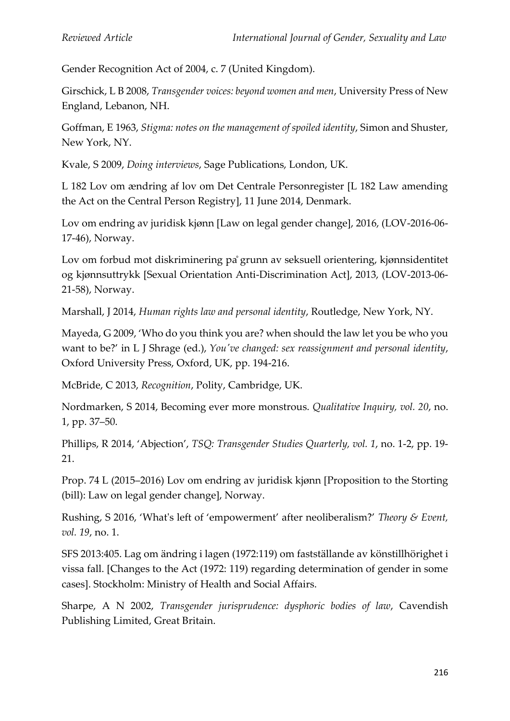Gender Recognition Act of 2004, c. 7 (United Kingdom).

Girschick, L B 2008, *Transgender voices: beyond women and men*, University Press of New England, Lebanon, NH.

Goffman, E 1963, *Stigma: notes on the management of spoiled identity*, Simon and Shuster, New York, NY.

Kvale, S 2009, *Doing interviews*, Sage Publications, London, UK.

L 182 Lov om ændring af lov om Det Centrale Personregister [L 182 Law amending the Act on the Central Person Registry], 11 June 2014, Denmark.

Lov om endring av juridisk kjønn [Law on legal gender change], 2016, (LOV-2016-06- 17-46), Norway.

Lov om forbud mot diskriminering pågrunn av seksuell orientering, kjønnsidentitet og kjønnsuttrykk [Sexual Orientation Anti-Discrimination Act], 2013, (LOV-2013-06- 21-58), Norway.

Marshall, J 2014, *Human rights law and personal identity*, Routledge, New York, NY.

Mayeda, G 2009, 'Who do you think you are? when should the law let you be who you want to be?' in L J Shrage (ed.), *You've changed: sex reassignment and personal identity*, Oxford University Press, Oxford, UK, pp. 194-216.

McBride, C 2013, *Recognition*, Polity, Cambridge, UK.

Nordmarken, S 2014, Becoming ever more monstrous. *Qualitative Inquiry, vol. 20*, no. 1, pp. 37–50.

Phillips, R 2014, 'Abjection', *TSQ: Transgender Studies Quarterly, vol. 1*, no. 1-2, pp. 19- 21.

Prop. 74 L (2015–2016) Lov om endring av juridisk kjønn [Proposition to the Storting (bill): Law on legal gender change], Norway.

Rushing, S 2016, 'What's left of 'empowerment' after neoliberalism?' *Theory & Event, vol. 19*, no. 1.

SFS 2013:405. Lag om ändring i lagen (1972:119) om fastställande av könstillhörighet i vissa fall. [Changes to the Act (1972: 119) regarding determination of gender in some cases]. Stockholm: Ministry of Health and Social Affairs.

Sharpe, A N 2002, *Transgender jurisprudence: dysphoric bodies of law*, Cavendish Publishing Limited, Great Britain.